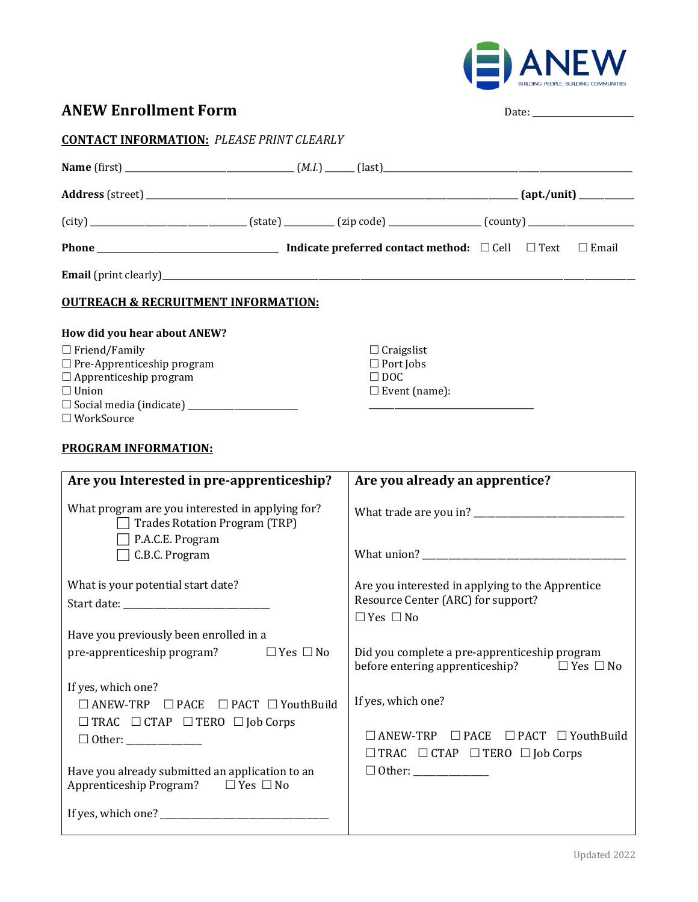

**ANEW Enrollment Form** Date: \_\_\_\_\_\_\_\_\_\_\_\_\_\_\_\_\_\_\_\_\_\_\_\_

| <b>ANEW Enrollment Form</b> |  |  |  |
|-----------------------------|--|--|--|
|-----------------------------|--|--|--|

| <b>CONTACT INFORMATION: PLEASE PRINT CLEARLY</b> |  |  |                         |  |  |
|--------------------------------------------------|--|--|-------------------------|--|--|
|                                                  |  |  |                         |  |  |
|                                                  |  |  |                         |  |  |
|                                                  |  |  |                         |  |  |
|                                                  |  |  |                         |  |  |
|                                                  |  |  |                         |  |  |
| <b>OUTREACH &amp; RECRUITMENT INFORMATION:</b>   |  |  |                         |  |  |
| How did you hear about ANEW?                     |  |  |                         |  |  |
| $\Box$ Friend/Family                             |  |  | $\Box$ Craigslist       |  |  |
| $\Box$ Pre-Apprenticeship program                |  |  | $\Box$ Port Jobs        |  |  |
| $\Box$ Apprenticeship program                    |  |  | $\Box$ DOC              |  |  |
| $\Box$ Union                                     |  |  | $\square$ Event (name): |  |  |
|                                                  |  |  |                         |  |  |
| $\Box$ WorkSource                                |  |  |                         |  |  |

### **PROGRAM INFORMATION:**

| Are you Interested in pre-apprenticeship?                                                       | Are you already an apprentice?                                                                                    |
|-------------------------------------------------------------------------------------------------|-------------------------------------------------------------------------------------------------------------------|
| What program are you interested in applying for?<br><b>Trades Rotation Program (TRP)</b>        |                                                                                                                   |
| P.A.C.E. Program<br>C.B.C. Program                                                              |                                                                                                                   |
| What is your potential start date?                                                              | Are you interested in applying to the Apprentice<br>Resource Center (ARC) for support?<br>$\Box$ Yes $\Box$ No    |
| Have you previously been enrolled in a                                                          |                                                                                                                   |
| pre-apprenticeship program? $\Box$ Yes $\Box$ No                                                | Did you complete a pre-apprenticeship program<br>before entering apprenticeship? $\Box$ Yes $\Box$ No             |
| If yes, which one?                                                                              |                                                                                                                   |
| $\Box$ ANEW-TRP $\Box$ PACE $\Box$ PACT $\Box$ YouthBuild                                       | If yes, which one?                                                                                                |
| $\Box$ TRAC $\Box$ CTAP $\Box$ TERO $\Box$ Job Corps                                            | $\Box$ ANEW-TRP $\Box$ PACE $\Box$ PACT $\Box$ YouthBuild<br>$\Box$ TRAC $\Box$ CTAP $\Box$ TERO $\Box$ Job Corps |
| Have you already submitted an application to an<br>Apprenticeship Program? $\Box$ Yes $\Box$ No |                                                                                                                   |
|                                                                                                 |                                                                                                                   |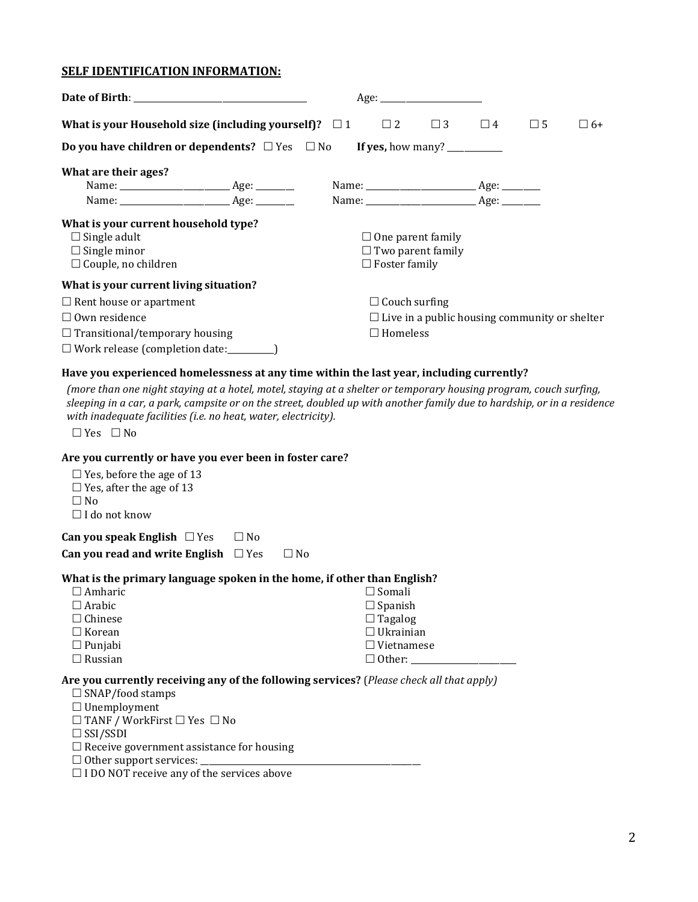### **SELF IDENTIFICATION INFORMATION:**

| Date of Birth: New York Date of Birth:                                                                                                                                                    |                 |                          | Age:                                                 |          |             |           |
|-------------------------------------------------------------------------------------------------------------------------------------------------------------------------------------------|-----------------|--------------------------|------------------------------------------------------|----------|-------------|-----------|
| What is your Household size (including yourself)? $\Box$ 1                                                                                                                                |                 | $\Box$ 2                 | $\Box$ 3                                             | $\Box$ 4 | $\square$ 5 | $\Box$ 6+ |
|                                                                                                                                                                                           |                 |                          |                                                      |          |             |           |
| What are their ages?                                                                                                                                                                      |                 |                          |                                                      |          |             |           |
|                                                                                                                                                                                           |                 |                          |                                                      |          |             |           |
|                                                                                                                                                                                           |                 |                          |                                                      |          |             |           |
| What is your current household type?                                                                                                                                                      |                 |                          |                                                      |          |             |           |
| $\Box$ Single adult                                                                                                                                                                       |                 | $\Box$ One parent family |                                                      |          |             |           |
| $\Box$ Single minor                                                                                                                                                                       |                 |                          | $\Box$ Two parent family                             |          |             |           |
| $\Box$ Couple, no children                                                                                                                                                                |                 | $\Box$ Foster family     |                                                      |          |             |           |
| What is your current living situation?                                                                                                                                                    |                 |                          |                                                      |          |             |           |
| $\Box$ Rent house or apartment                                                                                                                                                            |                 | $\Box$ Couch surfing     |                                                      |          |             |           |
| $\Box$ Own residence                                                                                                                                                                      |                 |                          | $\Box$ Live in a public housing community or shelter |          |             |           |
| $\Box$ Transitional/temporary housing                                                                                                                                                     | $\Box$ Homeless |                          |                                                      |          |             |           |
| $\Box$ Work release (completion date:__________)                                                                                                                                          |                 |                          |                                                      |          |             |           |
| Have you experienced homelessness at any time within the last year, including currently?                                                                                                  |                 |                          |                                                      |          |             |           |
| (more than one night staying at a hotel, motel, staying at a shelter or temporary housing program, couch surfing,                                                                         |                 |                          |                                                      |          |             |           |
| sleeping in a car, a park, campsite or on the street, doubled up with another family due to hardship, or in a residence<br>with inadequate facilities (i.e. no heat, water, electricity). |                 |                          |                                                      |          |             |           |
| $\Box$ Yes $\Box$ No                                                                                                                                                                      |                 |                          |                                                      |          |             |           |
| Are you currently or have you ever heen in foster care?                                                                                                                                   |                 |                          |                                                      |          |             |           |

#### **Are you currently or have you ever been in foster care?**

| $\Box$ Yes, before the age of 13<br>$\Box$ Yes, after the age of 13<br>□ No<br>$\Box$ I do not know                                        |           |      |                   |
|--------------------------------------------------------------------------------------------------------------------------------------------|-----------|------|-------------------|
| Can you speak English $\Box$ Yes                                                                                                           | $\Box$ No |      |                   |
| Can you read and write English $\Box$ Yes                                                                                                  |           | □ No |                   |
| What is the primary language spoken in the home, if other than English?                                                                    |           |      |                   |
| $\Box$ Amharic                                                                                                                             |           |      | $\Box$ Somali     |
| $\Box$ Arabic                                                                                                                              |           |      | $\Box$ Spanish    |
| $\Box$ Chinese                                                                                                                             |           |      | $\Box$ Tagalog    |
| $\Box$ Korean                                                                                                                              |           |      | $\Box$ Ukrainian  |
| $\Box$ Punjabi                                                                                                                             |           |      | $\Box$ Vietnamese |
| $\Box$ Russian                                                                                                                             |           |      | $\Box$ Other:     |
| Are you currently receiving any of the following services? (Please check all that apply)<br>$\Box$ SNAP/food stamps<br>$\Box$ Unemployment |           |      |                   |

 $\square$  TANF / WorkFirst  $\square$  Yes  $\square$  No

 $\square$  SSI/SSDI

 $\Box$  Receive government assistance for housing

Other support services: \_\_\_\_\_\_\_\_\_\_\_\_\_\_\_\_\_\_\_\_\_\_\_\_\_\_\_\_\_\_\_\_\_\_\_\_\_\_\_\_\_\_\_\_\_\_\_\_\_\_\_\_

 $\square$  I DO NOT receive any of the services above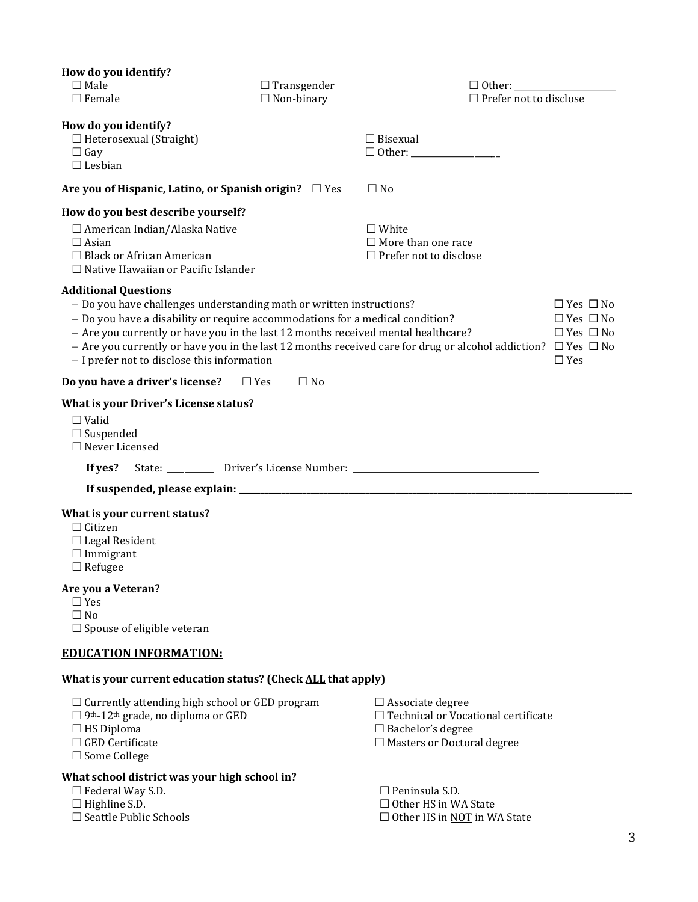| How do you identify?                                                                                                                                                                                                                                                                                                     |                         |                                                                                                                                   |                                                                                    |
|--------------------------------------------------------------------------------------------------------------------------------------------------------------------------------------------------------------------------------------------------------------------------------------------------------------------------|-------------------------|-----------------------------------------------------------------------------------------------------------------------------------|------------------------------------------------------------------------------------|
| $\Box$ Male                                                                                                                                                                                                                                                                                                              | $\Box$ Transgender      | $\Box$ Other:                                                                                                                     |                                                                                    |
| $\Box$ Female                                                                                                                                                                                                                                                                                                            | $\Box$ Non-binary       | $\Box$ Prefer not to disclose                                                                                                     |                                                                                    |
| How do you identify?<br>$\Box$ Heterosexual (Straight)<br>$\Box$ Gay<br>$\Box$ Lesbian                                                                                                                                                                                                                                   |                         | $\Box$ Bisexual                                                                                                                   |                                                                                    |
| Are you of Hispanic, Latino, or Spanish origin? $\Box$ Yes                                                                                                                                                                                                                                                               |                         | $\Box$ No                                                                                                                         |                                                                                    |
| How do you best describe yourself?                                                                                                                                                                                                                                                                                       |                         |                                                                                                                                   |                                                                                    |
| $\Box$ American Indian/Alaska Native<br>$\Box$ Asian<br>$\Box$ Black or African American<br>$\Box$ Native Hawaiian or Pacific Islander                                                                                                                                                                                   |                         | $\Box$ White<br>$\Box$ More than one race<br>$\Box$ Prefer not to disclose                                                        |                                                                                    |
| <b>Additional Questions</b><br>- Do you have challenges understanding math or written instructions?<br>- Do you have a disability or require accommodations for a medical condition?<br>- Are you currently or have you in the last 12 months received mental healthcare?<br>- I prefer not to disclose this information |                         | - Are you currently or have you in the last 12 months received care for drug or alcohol addiction? $\Box$ Yes $\Box$ No           | $\Box$ Yes $\Box$ No<br>$\Box$ Yes $\Box$ No<br>$\Box$ Yes $\Box$ No<br>$\Box$ Yes |
| Do you have a driver's license?                                                                                                                                                                                                                                                                                          | $\Box$ No<br>$\Box$ Yes |                                                                                                                                   |                                                                                    |
| What is your Driver's License status?<br>$\Box$ Valid<br>$\Box$ Suspended<br>$\Box$ Never Licensed<br>If yes?                                                                                                                                                                                                            |                         | State: ____________ Driver's License Number: ___________________________________                                                  |                                                                                    |
|                                                                                                                                                                                                                                                                                                                          |                         |                                                                                                                                   |                                                                                    |
| What is your current status?<br>$\Box$ Citizen<br>$\Box$ Legal Resident<br>$\Box$ Immigrant<br>$\Box$ Refugee                                                                                                                                                                                                            |                         |                                                                                                                                   |                                                                                    |
| Are you a Veteran?<br>$\Box$ Yes<br>$\Box$ No<br>$\Box$ Spouse of eligible veteran                                                                                                                                                                                                                                       |                         |                                                                                                                                   |                                                                                    |
| <b>EDUCATION INFORMATION:</b>                                                                                                                                                                                                                                                                                            |                         |                                                                                                                                   |                                                                                    |
| What is your current education status? (Check ALL that apply)                                                                                                                                                                                                                                                            |                         |                                                                                                                                   |                                                                                    |
| $\Box$ Currently attending high school or GED program<br>$\Box$ 9 <sup>th</sup> -12 <sup>th</sup> grade, no diploma or GED<br>$\Box$ HS Diploma<br>$\Box$ GED Certificate<br>$\Box$ Some College                                                                                                                         |                         | $\Box$ Associate degree<br>$\Box$ Technical or Vocational certificate<br>□ Bachelor's degree<br>$\Box$ Masters or Doctoral degree |                                                                                    |
| What school district was your high school in?<br>$\Box$ Federal Way S.D.<br>$\Box$ Highline S.D.                                                                                                                                                                                                                         |                         | $\Box$ Peninsula S.D.<br>$\Box$ Other HS in WA State                                                                              |                                                                                    |

| . .                           |  |
|-------------------------------|--|
| $\Box$ Seattle Public Schools |  |

 $\Box$  Other HS in WA State  $\square$  Other HS in <u>NOT</u> in WA State

3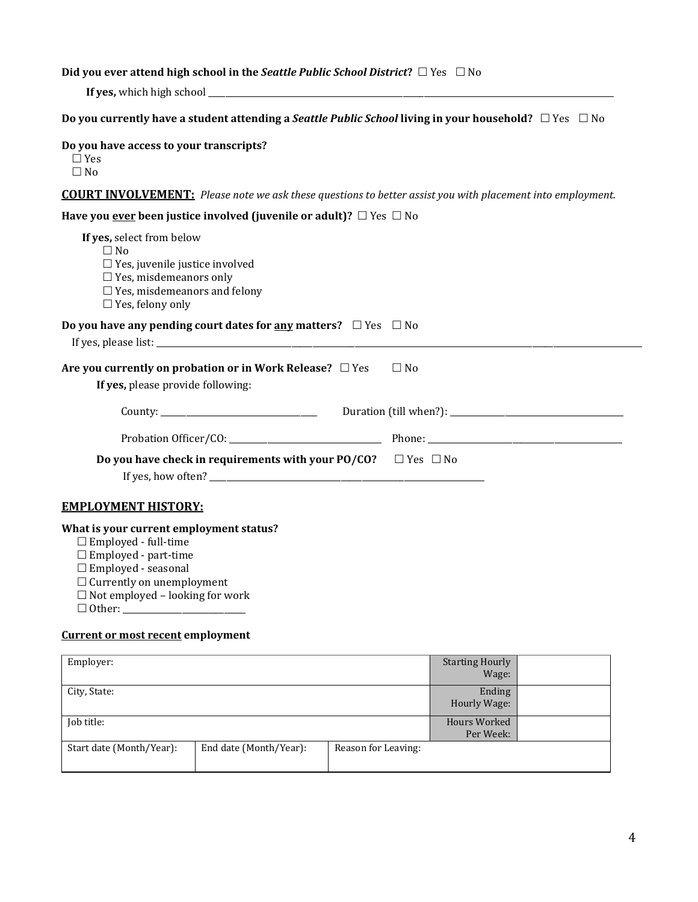### **Did you ever attend high school in the** *Seattle Public School District***? □ Yes □ No**

**If yes,** which high school \_\_\_\_\_\_\_\_\_\_\_\_\_\_\_\_\_\_\_\_\_\_\_\_\_\_\_\_\_\_\_\_\_\_\_\_\_\_\_\_\_\_\_\_\_\_\_\_\_\_\_\_\_\_\_\_\_\_\_\_\_\_\_\_\_\_\_\_\_\_\_\_\_\_\_\_\_\_\_\_\_\_\_\_\_\_\_\_\_\_\_\_\_\_\_\_

| Do you currently have a student attending a Seattle Public School living in your household? $\Box$ Yes $\Box$ No |  |  |
|------------------------------------------------------------------------------------------------------------------|--|--|
|------------------------------------------------------------------------------------------------------------------|--|--|

| Do you have access to your transcripts?<br>$\Box$ Yes<br>$\Box$ No                                                                                                                                                |           |
|-------------------------------------------------------------------------------------------------------------------------------------------------------------------------------------------------------------------|-----------|
| <b>COURT INVOLVEMENT:</b> Please note we ask these questions to better assist you with placement into employment.                                                                                                 |           |
| Have you <u>ever</u> been justice involved (juvenile or adult)? $\Box$ Yes $\Box$ No                                                                                                                              |           |
| If yes, select from below<br>$\Box$ No<br>$\Box$ Yes, juvenile justice involved<br>$\Box$ Yes, misdemeanors only<br>$\Box$ Yes, misdemeanors and felony<br>$\Box$ Yes, felony only                                |           |
| Do you have any pending court dates for <u>any</u> matters? $\Box$ Yes $\Box$ No<br>If yes, please list:                                                                                                          |           |
| Are you currently on probation or in Work Release? □ Yes<br>If yes, please provide following:                                                                                                                     | $\Box$ No |
|                                                                                                                                                                                                                   |           |
|                                                                                                                                                                                                                   |           |
| <b>Do you have check in requirements with your PO/CO?</b> $\Box$ Yes $\Box$ No                                                                                                                                    |           |
| <b>EMPLOYMENT HISTORY:</b>                                                                                                                                                                                        |           |
| What is your current employment status?<br>$\Box$ Employed - full-time<br>$\Box$ Employed - part-time<br>$\Box$ Employed - seasonal<br>$\Box$ Currently on unemployment<br>$\Box$ Not employed - looking for work |           |

#### **Current or most recent employment**

| Employer:                |                        |                     | <b>Starting Hourly</b><br>Wage: |  |
|--------------------------|------------------------|---------------------|---------------------------------|--|
| City, State:             |                        |                     | Ending<br>Hourly Wage:          |  |
| Job title:               |                        |                     | Hours Worked<br>Per Week:       |  |
| Start date (Month/Year): | End date (Month/Year): | Reason for Leaving: |                                 |  |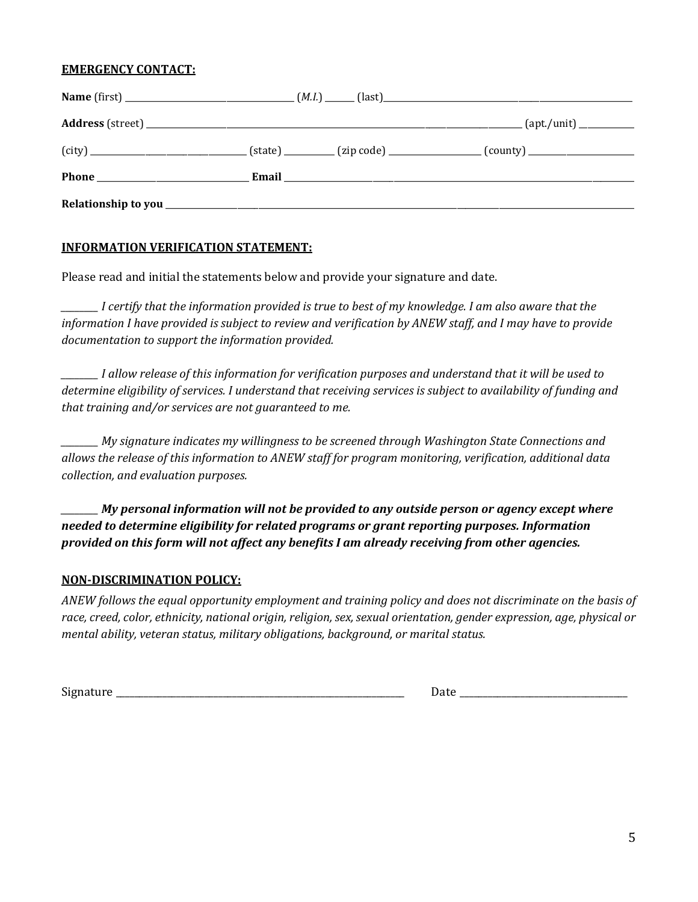#### **EMERGENCY CONTACT:**

### **INFORMATION VERIFICATION STATEMENT:**

Please read and initial the statements below and provide your signature and date.

*\_\_\_\_\_\_\_\_ I certify that the information provided is true to best of my knowledge. I am also aware that the information I have provided is subject to review and verification by ANEW staff, and I may have to provide documentation to support the information provided.* 

*\_\_\_\_\_\_\_\_ I allow release of this information for verification purposes and understand that it will be used to determine eligibility of services. I understand that receiving services is subject to availability of funding and that training and/or services are not guaranteed to me.* 

*\_\_\_\_\_\_\_\_ My signature indicates my willingness to be screened through Washington State Connections and allows the release of this information to ANEW staff for program monitoring, verification, additional data collection, and evaluation purposes.* 

*\_\_\_\_\_\_\_\_ My personal information will not be provided to any outside person or agency except where needed to determine eligibility for related programs or grant reporting purposes. Information provided on this form will not affect any benefits I am already receiving from other agencies.*

#### **NON-DISCRIMINATION POLICY:**

*ANEW follows the equal opportunity employment and training policy and does not discriminate on the basis of race, creed, color, ethnicity, national origin, religion, sex, sexual orientation, gender expression, age, physical or mental ability, veteran status, military obligations, background, or marital status.* 

 $Signature$   $\ldots$   $\ldots$   $\ldots$   $\ldots$   $\ldots$   $\ldots$   $\ldots$   $\ldots$   $\ldots$   $\ldots$   $\ldots$   $\ldots$   $\ldots$   $\ldots$   $\ldots$   $\ldots$   $\ldots$   $\ldots$   $\ldots$   $\ldots$   $\ldots$   $\ldots$   $\ldots$   $\ldots$   $\ldots$   $\ldots$   $\ldots$   $\ldots$   $\ldots$   $\ldots$   $\ldots$   $\ldots$   $\ldots$   $\ldots$   $\ldots$   $\ldots$